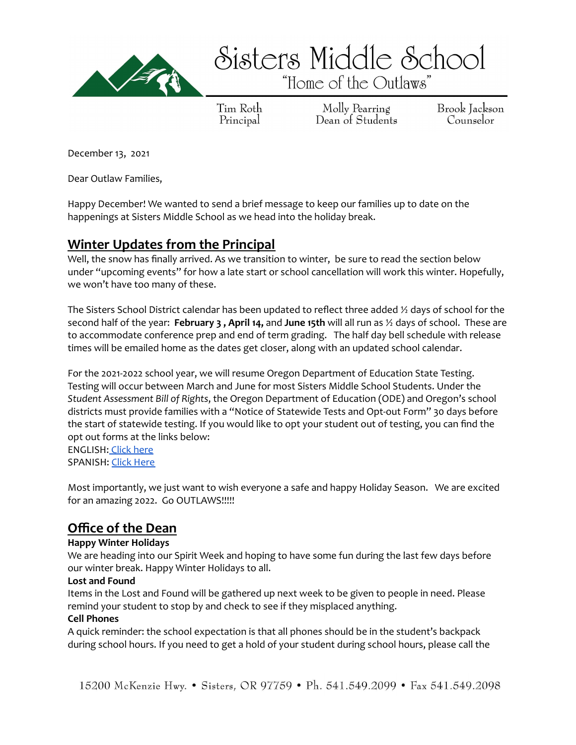

Sisters Middle School

"Home of the Outlaws"

Tim Roth Principal

Molly Pearring Dean of Students Brook Jackson Counselor

December 13, 2021

Dear Outlaw Families,

Happy December! We wanted to send a brief message to keep our families up to date on the happenings at Sisters Middle School as we head into the holiday break.

## **Winter Updates from the Principal**

Well, the snow has finally arrived. As we transition to winter, be sure to read the section below under "upcoming events" for how a late start or school cancellation will work this winter. Hopefully, we won't have too many of these.

The Sisters School District calendar has been updated to reflect three added ½ days of school for the second half of the year: **February 3 , April 14,** and **June 15th** will all run as ½ days of school. These are to accommodate conference prep and end of term grading. The half day bell schedule with release times will be emailed home as the dates get closer, along with an updated school calendar.

For the 2021-2022 school year, we will resume Oregon Department of Education State Testing. Testing will occur between March and June for most Sisters Middle School Students. Under the *Student Assessment Bill of Rights*, the Oregon Department of Education (ODE) and Oregon's school districts must provide families with a "Notice of Statewide Tests and Opt-out Form" 30 days before the start of statewide testing. If you would like to opt your student out of testing, you can find the opt out f[o](https://www.oregon.gov/ode/educator-resources/assessment/Documents/Opt-Out_Form.pdf)rms at the links below:

ENGLISH: [Click](https://www.oregon.gov/ode/educator-resources/assessment/Documents/notice_opt_out_form_English.pdf) here SPANISH: Click [Here](https://www.oregon.gov/ode/educator-resources/assessment/Documents/Spanish_Opt-Out_Form.pdf)

Most importantly, we just want to wish everyone a safe and happy Holiday Season. We are excited for an amazing 2022. Go OUTLAWS!!!!!

## **Office of the Dean**

#### **Happy Winter Holidays**

We are heading into our Spirit Week and hoping to have some fun during the last few days before our winter break. Happy Winter Holidays to all.

#### **Lost and Found**

Items in the Lost and Found will be gathered up next week to be given to people in need. Please remind your student to stop by and check to see if they misplaced anything.

#### **Cell Phones**

A quick reminder: the school expectation is that all phones should be in the student's backpack during school hours. If you need to get a hold of your student during school hours, please call the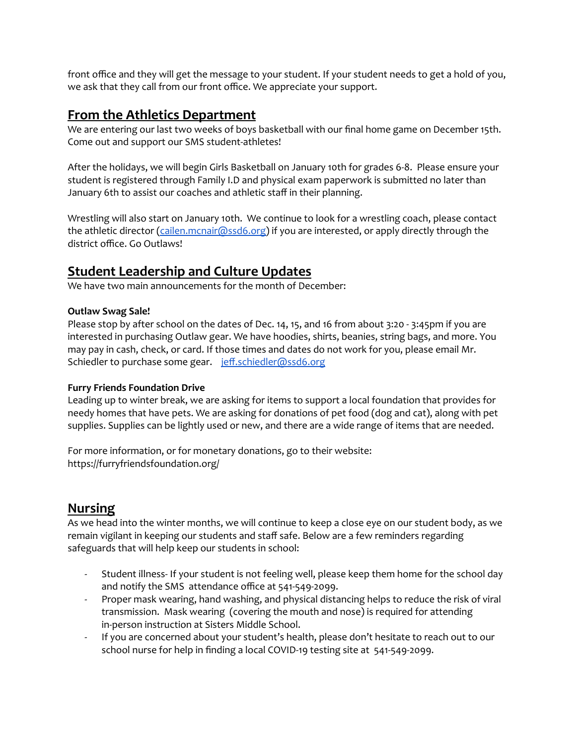front office and they will get the message to your student. If your student needs to get a hold of you, we ask that they call from our front office. We appreciate your support.

### **From the Athletics Department**

We are entering our last two weeks of boys basketball with our final home game on December 15th. Come out and support our SMS student-athletes!

After the holidays, we will begin Girls Basketball on January 10th for grades 6-8. Please ensure your student is registered through Family I.D and physical exam paperwork is submitted no later than January 6th to assist our coaches and athletic staff in their planning.

Wrestling will also start on January 10th. We continue to look for a wrestling coach, please contact the athletic director [\(cailen.mcnair@ssd6.org\)](mailto:cailen.mcnair@ssd6.org) if you are interested, or apply directly through the district office. Go Outlaws!

### **Student Leadership and Culture Updates**

We have two main announcements for the month of December:

#### **Outlaw Swag Sale!**

Please stop by after school on the dates of Dec. 14, 15, and 16 from about 3:20 - 3:45pm if you are interested in purchasing Outlaw gear. We have hoodies, shirts, beanies, string bags, and more. You may pay in cash, check, or card. If those times and dates do not work for you, please email Mr. Schiedler to purchase some gear. [jeff.schiedler@ssd6.org](mailto:jeff.schiedler@ssd6.org)

#### **Furry Friends Foundation Drive**

Leading up to winter break, we are asking for items to support a local foundation that provides for needy homes that have pets. We are asking for donations of pet food (dog and cat), along with pet supplies. Supplies can be lightly used or new, and there are a wide range of items that are needed.

For more information, or for monetary donations, go to their website: https://furryfriendsfoundation.org/

## **Nursing**

As we head into the winter months, we will continue to keep a close eye on our student body, as we remain vigilant in keeping our students and staff safe. Below are a few reminders regarding safeguards that will help keep our students in school:

- Student illness- If your student is not feeling well, please keep them home for the school day and notify the SMS attendance office at 541-549-2099.
- Proper mask wearing, hand washing, and physical distancing helps to reduce the risk of viral transmission. Mask wearing (covering the mouth and nose) is required for attending in-person instruction at Sisters Middle School.
- If you are concerned about your student's health, please don't hesitate to reach out to our school nurse for help in finding a local COVID-19 testing site at 541-549-2099.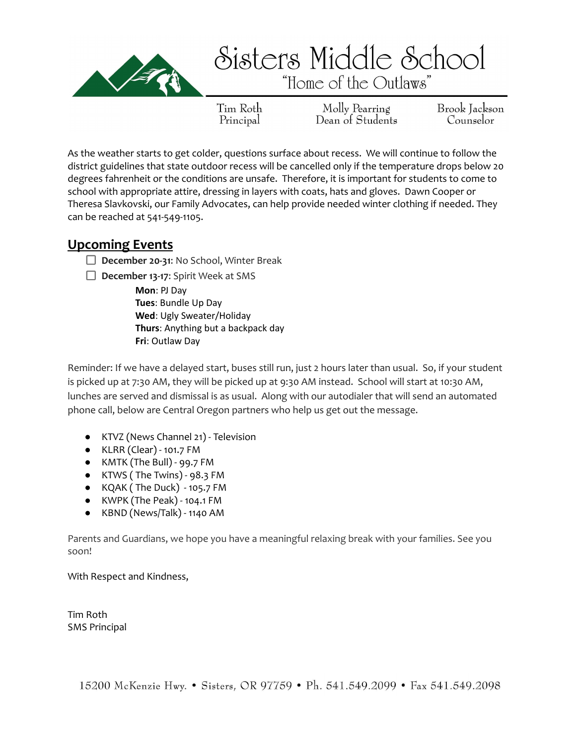

Sisters Middle School "Home of the Outlaws"

Tim Roth Principal

Molly Pearring Dean of Students Brook Jackson Counselor

As the weather starts to get colder, questions surface about recess. We will continue to follow the district guidelines that state outdoor recess will be cancelled only if the temperature drops below 20 degrees fahrenheit or the conditions are unsafe. Therefore, it is important for students to come to school with appropriate attire, dressing in layers with coats, hats and gloves. Dawn Cooper or Theresa Slavkovski, our Family Advocates, can help provide needed winter clothing if needed. They can be reached at 541-549-1105.

## **Upcoming Events**

- **December 20-31:** No School, Winter Break
- **December 13-17:** Spirit Week at SMS

**Mon**: PJ Day **Tues**: Bundle Up Day **Wed**: Ugly Sweater/Holiday **Thurs**: Anything but a backpack day **Fri**: Outlaw Day

Reminder: If we have a delayed start, buses still run, just 2 hours later than usual. So, if your student is picked up at 7:30 AM, they will be picked up at 9:30 AM instead. School will start at 10:30 AM, lunches are served and dismissal is as usual. Along with our autodialer that will send an automated phone call, below are Central Oregon partners who help us get out the message.

- KTVZ (News Channel 21) Television
- KLRR (Clear) 101.7 FM
- KMTK (The Bull) 99.7 FM
- KTWS (The Twins) 98.3 FM
- KQAK (The Duck) 105.7 FM
- KWPK (The Peak) 104.1 FM
- KBND (News/Talk) 1140 AM

Parents and Guardians, we hope you have a meaningful relaxing break with your families. See you soon!

With Respect and Kindness,

Tim Roth SMS Principal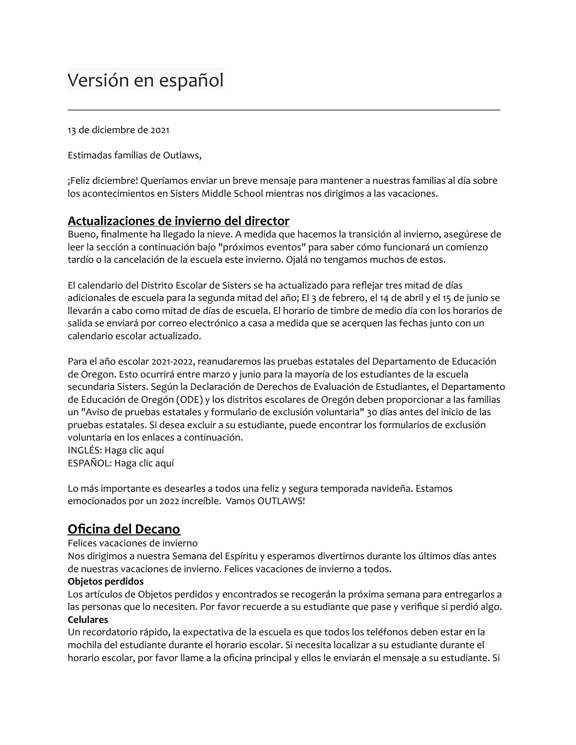# Versión en español

13 de diciembre de 2021

Estimadas familias de Outlaws,

¡Feliz diciembre! Queríamos enviar un breve mensaje para mantener a nuestras familias al día sobre los acontecimientos en Sisters Middle School mientras nos dirigimos a las vacaciones.

\_\_\_\_\_\_\_\_\_\_\_\_\_\_\_\_\_\_\_\_\_\_\_\_\_\_\_\_\_\_\_\_\_\_\_\_\_\_\_\_\_\_\_\_\_\_\_\_\_\_\_\_\_\_\_\_\_\_\_\_\_\_\_\_\_\_\_\_\_\_\_\_\_\_\_\_\_\_\_\_\_\_\_

#### **Actualizaciones de invierno del director**

Bueno, finalmente ha llegado la nieve. A medida que hacemos la transición al invierno, asegúrese de leer la sección a continuación bajo "próximos eventos" para saber cómo funcionará un comienzo tardío o la cancelación de la escuela este invierno. Ojalá no tengamos muchos de estos.

El calendario del Distrito Escolar de Sisters se ha actualizado para reflejar tres mitad de días adicionales de escuela para la segunda mitad del año; El 3 de febrero, el 14 de abril y el 15 de junio se llevarán a cabo como mitad de días de escuela. El horario de timbre de medio día con los horarios de salida se enviará por correo electrónico a casa a medida que se acerquen las fechas junto con un calendario escolar actualizado.

Para el año escolar 2021-2022, reanudaremos las pruebas estatales del Departamento de Educación de Oregon. Esto ocurrirá entre marzo y junio para la mayoría de los estudiantes de la escuela secundaria Sisters. Según la Declaración de Derechos de Evaluación de Estudiantes, el Departamento de Educación de Oregón (ODE) y los distritos escolares de Oregón deben proporcionar a las familias un "Aviso de pruebas estatales y formulario de exclusión voluntaria" 30 días antes del inicio de las pruebas estatales. Si desea excluir a su estudiante, puede encontrar los formularios de exclusión voluntaria en los enlaces a continuación. INGLÉS: Haga clic aquí

ESPAÑOL: Haga clic aquí

Lo más importante es desearles a todos una feliz y segura temporada navideña. Estamos emocionados por un 2022 increíble. Vamos OUTLAWS!

#### **Oficina del Decano**

Felices vacaciones de invierno

Nos dirigimos a nuestra Semana del Espíritu y esperamos divertirnos durante los últimos días antes de nuestras vacaciones de invierno. Felices vacaciones de invierno a todos.

#### **Objetos perdidos**

Los artículos de Objetos perdidos y encontrados se recogerán la próxima semana para entregarlos a las personas que lo necesiten. Por favor recuerde a su estudiante que pase y verifique si perdió algo. **Celulares**

Un recordatorio rápido, la expectativa de la escuela es que todos los teléfonos deben estar en la mochila del estudiante durante el horario escolar. Si necesita localizar a su estudiante durante el horario escolar, por favor llame a la oficina principal y ellos le enviarán el mensaje a su estudiante. Si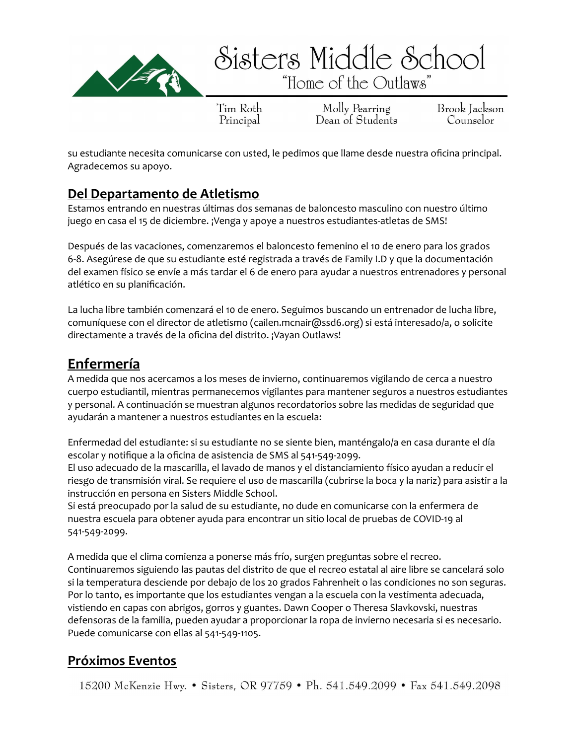

Sisters Middle School "Home of the Outlaws"

Tim Roth Principal

Molly Pearring Dean of Students Brook Jackson Counselor

su estudiante necesita comunicarse con usted, le pedimos que llame desde nuestra oficina principal. Agradecemos su apoyo.

## **Del Departamento de Atletismo**

Estamos entrando en nuestras últimas dos semanas de baloncesto masculino con nuestro último juego en casa el 15 de diciembre. ¡Venga y apoye a nuestros estudiantes-atletas de SMS!

Después de las vacaciones, comenzaremos el baloncesto femenino el 10 de enero para los grados 6-8. Asegúrese de que su estudiante esté registrada a través de Family I.D y que la documentación del examen físico se envíe a más tardar el 6 de enero para ayudar a nuestros entrenadores y personal atlético en su planificación.

La lucha libre también comenzará el 10 de enero. Seguimos buscando un entrenador de lucha libre, comuníquese con el director de atletismo (cailen.mcnair@ssd6.org) si está interesado/a, o solicite directamente a través de la oficina del distrito. ¡Vayan Outlaws!

# **Enfermería**

A medida que nos acercamos a los meses de invierno, continuaremos vigilando de cerca a nuestro cuerpo estudiantil, mientras permanecemos vigilantes para mantener seguros a nuestros estudiantes y personal. A continuación se muestran algunos recordatorios sobre las medidas de seguridad que ayudarán a mantener a nuestros estudiantes en la escuela:

Enfermedad del estudiante: si su estudiante no se siente bien, manténgalo/a en casa durante el día escolar y notifique a la oficina de asistencia de SMS al 541-549-2099.

El uso adecuado de la mascarilla, el lavado de manos y el distanciamiento físico ayudan a reducir el riesgo de transmisión viral. Se requiere el uso de mascarilla (cubrirse la boca y la nariz) para asistir a la instrucción en persona en Sisters Middle School.

Si está preocupado por la salud de su estudiante, no dude en comunicarse con la enfermera de nuestra escuela para obtener ayuda para encontrar un sitio local de pruebas de COVID-19 al 541-549-2099.

A medida que el clima comienza a ponerse más frío, surgen preguntas sobre el recreo. Continuaremos siguiendo las pautas del distrito de que el recreo estatal al aire libre se cancelará solo si la temperatura desciende por debajo de los 20 grados Fahrenheit o las condiciones no son seguras. Por lo tanto, es importante que los estudiantes vengan a la escuela con la vestimenta adecuada, vistiendo en capas con abrigos, gorros y guantes. Dawn Cooper o Theresa Slavkovski, nuestras defensoras de la familia, pueden ayudar a proporcionar la ropa de invierno necesaria si es necesario. Puede comunicarse con ellas al 541-549-1105.

## **Próximos Eventos**

15200 McKenzie Hwy. • Sisters, OR 97759 • Ph. 541.549.2099 • Fax 541.549.2098